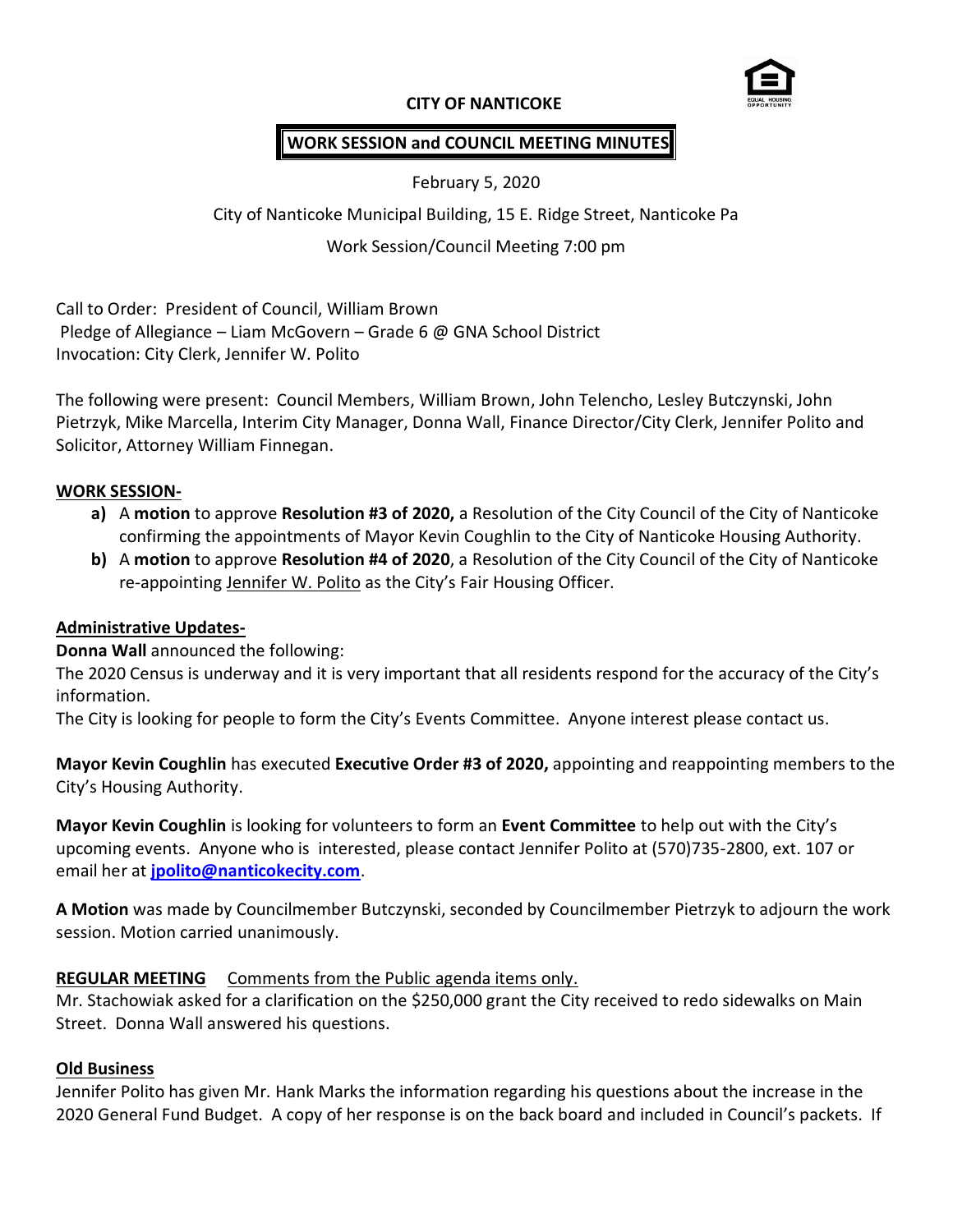## **CITY OF NANTICOKE**



# **WORK SESSION and COUNCIL MEETING MINUTES**

February 5, 2020

City of Nanticoke Municipal Building, 15 E. Ridge Street, Nanticoke Pa

## Work Session/Council Meeting 7:00 pm

Call to Order: President of Council, William Brown Pledge of Allegiance – Liam McGovern – Grade 6 @ GNA School District Invocation: City Clerk, Jennifer W. Polito

The following were present: Council Members, William Brown, John Telencho, Lesley Butczynski, John Pietrzyk, Mike Marcella, Interim City Manager, Donna Wall, Finance Director/City Clerk, Jennifer Polito and Solicitor, Attorney William Finnegan.

### **WORK SESSION-**

- **a)** A **motion** to approve **Resolution #3 of 2020,** a Resolution of the City Council of the City of Nanticoke confirming the appointments of Mayor Kevin Coughlin to the City of Nanticoke Housing Authority.
- **b)** A **motion** to approve **Resolution #4 of 2020**, a Resolution of the City Council of the City of Nanticoke re-appointing Jennifer W. Polito as the City's Fair Housing Officer.

### **Administrative Updates-**

**Donna Wall** announced the following:

The 2020 Census is underway and it is very important that all residents respond for the accuracy of the City's information.

The City is looking for people to form the City's Events Committee. Anyone interest please contact us.

**Mayor Kevin Coughlin** has executed **Executive Order #3 of 2020,** appointing and reappointing members to the City's Housing Authority.

**Mayor Kevin Coughlin** is looking for volunteers to form an **Event Committee** to help out with the City's upcoming events. Anyone who is interested, please contact Jennifer Polito at (570)735-2800, ext. 107 or email her at **[jpolito@nanticokecity.com](mailto:jpolito@nanticokecity.com)**.

**A Motion** was made by Councilmember Butczynski, seconded by Councilmember Pietrzyk to adjourn the work session. Motion carried unanimously.

### **REGULAR MEETING** Comments from the Public agenda items only.

Mr. Stachowiak asked for a clarification on the \$250,000 grant the City received to redo sidewalks on Main Street. Donna Wall answered his questions.

#### **Old Business**

Jennifer Polito has given Mr. Hank Marks the information regarding his questions about the increase in the 2020 General Fund Budget. A copy of her response is on the back board and included in Council's packets. If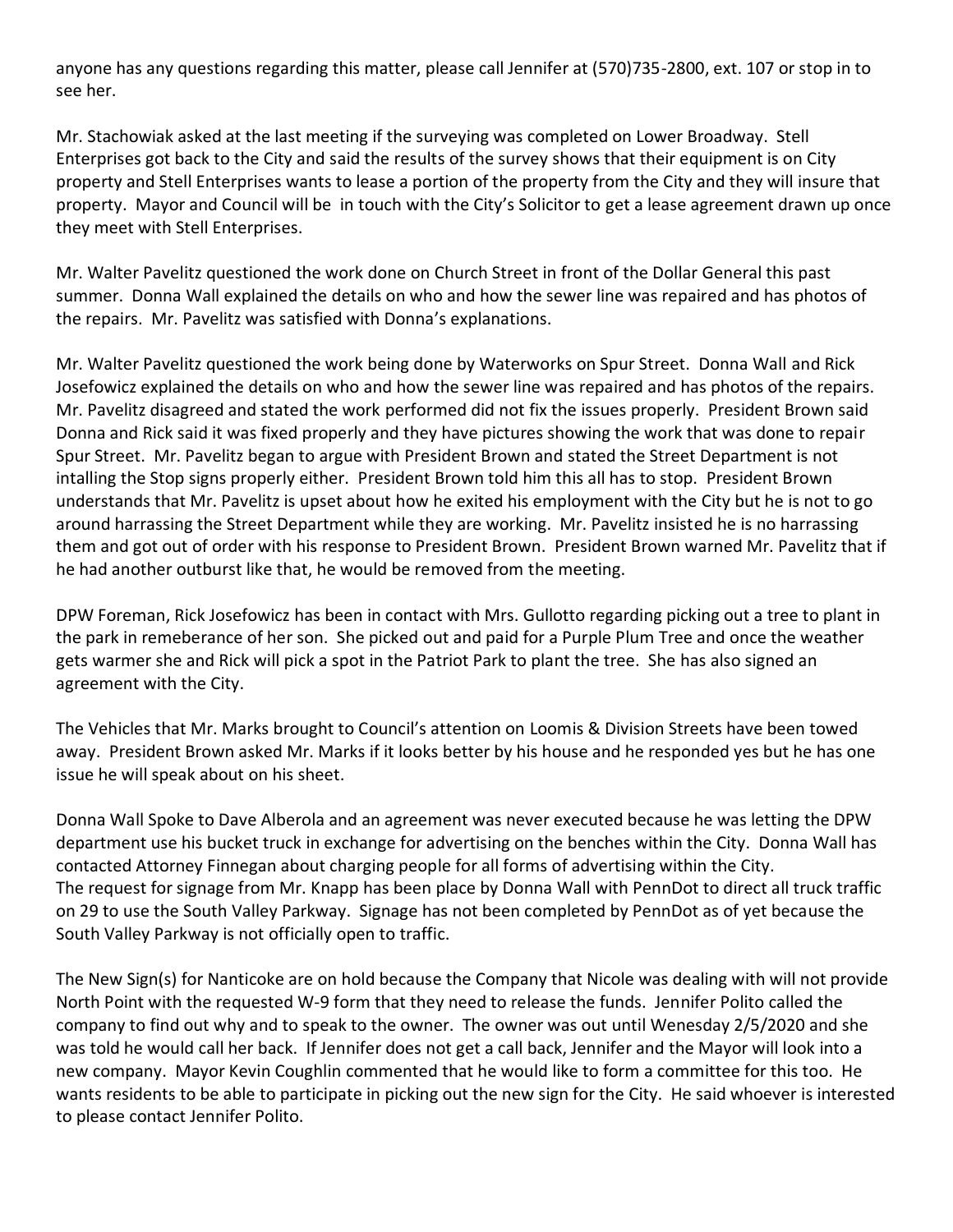anyone has any questions regarding this matter, please call Jennifer at (570)735-2800, ext. 107 or stop in to see her.

Mr. Stachowiak asked at the last meeting if the surveying was completed on Lower Broadway. Stell Enterprises got back to the City and said the results of the survey shows that their equipment is on City property and Stell Enterprises wants to lease a portion of the property from the City and they will insure that property. Mayor and Council will be in touch with the City's Solicitor to get a lease agreement drawn up once they meet with Stell Enterprises.

Mr. Walter Pavelitz questioned the work done on Church Street in front of the Dollar General this past summer. Donna Wall explained the details on who and how the sewer line was repaired and has photos of the repairs. Mr. Pavelitz was satisfied with Donna's explanations.

Mr. Walter Pavelitz questioned the work being done by Waterworks on Spur Street. Donna Wall and Rick Josefowicz explained the details on who and how the sewer line was repaired and has photos of the repairs. Mr. Pavelitz disagreed and stated the work performed did not fix the issues properly. President Brown said Donna and Rick said it was fixed properly and they have pictures showing the work that was done to repair Spur Street. Mr. Pavelitz began to argue with President Brown and stated the Street Department is not intalling the Stop signs properly either. President Brown told him this all has to stop. President Brown understands that Mr. Pavelitz is upset about how he exited his employment with the City but he is not to go around harrassing the Street Department while they are working. Mr. Pavelitz insisted he is no harrassing them and got out of order with his response to President Brown. President Brown warned Mr. Pavelitz that if he had another outburst like that, he would be removed from the meeting.

DPW Foreman, Rick Josefowicz has been in contact with Mrs. Gullotto regarding picking out a tree to plant in the park in remeberance of her son. She picked out and paid for a Purple Plum Tree and once the weather gets warmer she and Rick will pick a spot in the Patriot Park to plant the tree. She has also signed an agreement with the City.

The Vehicles that Mr. Marks brought to Council's attention on Loomis & Division Streets have been towed away. President Brown asked Mr. Marks if it looks better by his house and he responded yes but he has one issue he will speak about on his sheet.

Donna Wall Spoke to Dave Alberola and an agreement was never executed because he was letting the DPW department use his bucket truck in exchange for advertising on the benches within the City. Donna Wall has contacted Attorney Finnegan about charging people for all forms of advertising within the City. The request for signage from Mr. Knapp has been place by Donna Wall with PennDot to direct all truck traffic on 29 to use the South Valley Parkway. Signage has not been completed by PennDot as of yet because the South Valley Parkway is not officially open to traffic.

The New Sign(s) for Nanticoke are on hold because the Company that Nicole was dealing with will not provide North Point with the requested W-9 form that they need to release the funds. Jennifer Polito called the company to find out why and to speak to the owner. The owner was out until Wenesday 2/5/2020 and she was told he would call her back. If Jennifer does not get a call back, Jennifer and the Mayor will look into a new company. Mayor Kevin Coughlin commented that he would like to form a committee for this too. He wants residents to be able to participate in picking out the new sign for the City. He said whoever is interested to please contact Jennifer Polito.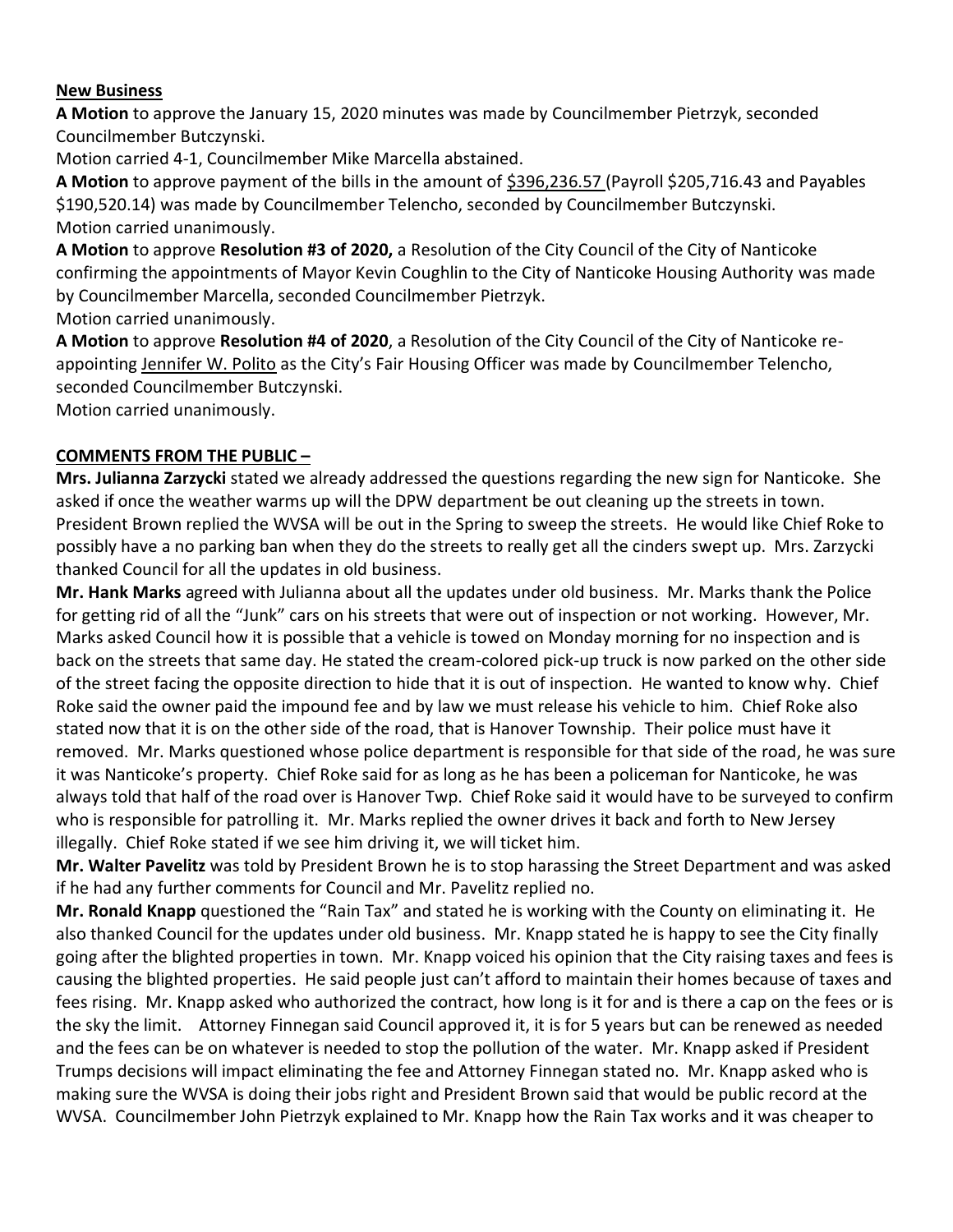## **New Business**

**A Motion** to approve the January 15, 2020 minutes was made by Councilmember Pietrzyk, seconded Councilmember Butczynski.

Motion carried 4-1, Councilmember Mike Marcella abstained.

**A Motion** to approve payment of the bills in the amount of \$396,236.57 (Payroll \$205,716.43 and Payables \$190,520.14) was made by Councilmember Telencho, seconded by Councilmember Butczynski. Motion carried unanimously.

**A Motion** to approve **Resolution #3 of 2020,** a Resolution of the City Council of the City of Nanticoke confirming the appointments of Mayor Kevin Coughlin to the City of Nanticoke Housing Authority was made by Councilmember Marcella, seconded Councilmember Pietrzyk.

Motion carried unanimously.

**A Motion** to approve **Resolution #4 of 2020**, a Resolution of the City Council of the City of Nanticoke reappointing Jennifer W. Polito as the City's Fair Housing Officer was made by Councilmember Telencho, seconded Councilmember Butczynski.

Motion carried unanimously.

## **COMMENTS FROM THE PUBLIC –**

**Mrs. Julianna Zarzycki** stated we already addressed the questions regarding the new sign for Nanticoke. She asked if once the weather warms up will the DPW department be out cleaning up the streets in town. President Brown replied the WVSA will be out in the Spring to sweep the streets. He would like Chief Roke to possibly have a no parking ban when they do the streets to really get all the cinders swept up. Mrs. Zarzycki thanked Council for all the updates in old business.

**Mr. Hank Marks** agreed with Julianna about all the updates under old business. Mr. Marks thank the Police for getting rid of all the "Junk" cars on his streets that were out of inspection or not working. However, Mr. Marks asked Council how it is possible that a vehicle is towed on Monday morning for no inspection and is back on the streets that same day. He stated the cream-colored pick-up truck is now parked on the other side of the street facing the opposite direction to hide that it is out of inspection. He wanted to know why. Chief Roke said the owner paid the impound fee and by law we must release his vehicle to him. Chief Roke also stated now that it is on the other side of the road, that is Hanover Township. Their police must have it removed. Mr. Marks questioned whose police department is responsible for that side of the road, he was sure it was Nanticoke's property. Chief Roke said for as long as he has been a policeman for Nanticoke, he was always told that half of the road over is Hanover Twp. Chief Roke said it would have to be surveyed to confirm who is responsible for patrolling it. Mr. Marks replied the owner drives it back and forth to New Jersey illegally. Chief Roke stated if we see him driving it, we will ticket him.

**Mr. Walter Pavelitz** was told by President Brown he is to stop harassing the Street Department and was asked if he had any further comments for Council and Mr. Pavelitz replied no.

**Mr. Ronald Knapp** questioned the "Rain Tax" and stated he is working with the County on eliminating it. He also thanked Council for the updates under old business. Mr. Knapp stated he is happy to see the City finally going after the blighted properties in town. Mr. Knapp voiced his opinion that the City raising taxes and fees is causing the blighted properties. He said people just can't afford to maintain their homes because of taxes and fees rising. Mr. Knapp asked who authorized the contract, how long is it for and is there a cap on the fees or is the sky the limit. Attorney Finnegan said Council approved it, it is for 5 years but can be renewed as needed and the fees can be on whatever is needed to stop the pollution of the water. Mr. Knapp asked if President Trumps decisions will impact eliminating the fee and Attorney Finnegan stated no. Mr. Knapp asked who is making sure the WVSA is doing their jobs right and President Brown said that would be public record at the WVSA. Councilmember John Pietrzyk explained to Mr. Knapp how the Rain Tax works and it was cheaper to